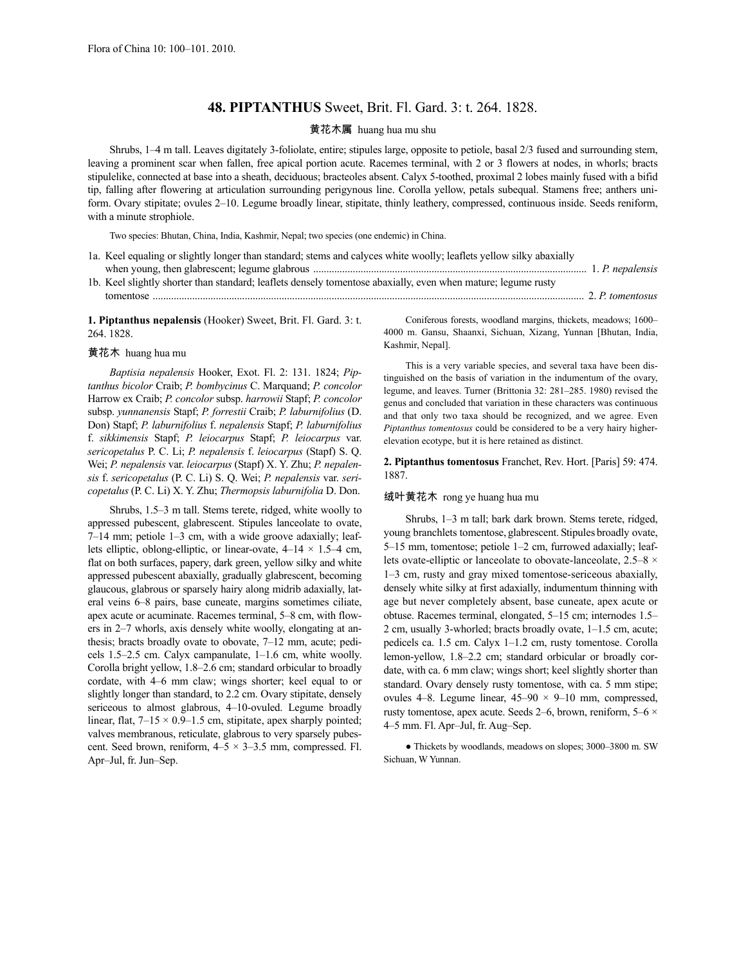# **48. PIPTANTHUS** Sweet, Brit. Fl. Gard. 3: t. 264. 1828.

### 黄花木属 huang hua mu shu

Shrubs, 1–4 m tall. Leaves digitately 3-foliolate, entire; stipules large, opposite to petiole, basal 2/3 fused and surrounding stem, leaving a prominent scar when fallen, free apical portion acute. Racemes terminal, with 2 or 3 flowers at nodes, in whorls; bracts stipulelike, connected at base into a sheath, deciduous; bracteoles absent. Calyx 5-toothed, proximal 2 lobes mainly fused with a bifid tip, falling after flowering at articulation surrounding perigynous line. Corolla yellow, petals subequal. Stamens free; anthers uniform. Ovary stipitate; ovules 2–10. Legume broadly linear, stipitate, thinly leathery, compressed, continuous inside. Seeds reniform, with a minute strophiole.

Two species: Bhutan, China, India, Kashmir, Nepal; two species (one endemic) in China.

- 1a. Keel equaling or slightly longer than standard; stems and calyces white woolly; leaflets yellow silky abaxially when young, then glabrescent; legume glabrous ........................................................................................................ 1. *P. nepalensis* 1b. Keel slightly shorter than standard; leaflets densely tomentose abaxially, even when mature; legume rusty
- tomentose .................................................................................................................................................................... 2. *P. tomentosus*

**1. Piptanthus nepalensis** (Hooker) Sweet, Brit. Fl. Gard. 3: t. 264. 1828.

#### 黄花木 huang hua mu

*Baptisia nepalensis* Hooker, Exot. Fl. 2: 131. 1824; *Piptanthus bicolor* Craib; *P. bombycinus* C. Marquand; *P. concolor* Harrow ex Craib; *P. concolor* subsp. *harrowii* Stapf; *P. concolor* subsp. *yunnanensis* Stapf; *P. forrestii* Craib; *P. laburnifolius* (D. Don) Stapf; *P. laburnifolius* f. *nepalensis* Stapf; *P. laburnifolius* f. *sikkimensis* Stapf; *P. leiocarpus* Stapf; *P. leiocarpus* var. *sericopetalus* P. C. Li; *P. nepalensis* f. *leiocarpus* (Stapf) S. Q. Wei; *P. nepalensis* var. *leiocarpus* (Stapf) X. Y. Zhu; *P. nepalensis* f. *sericopetalus* (P. C. Li) S. Q. Wei; *P. nepalensis* var. *sericopetalus* (P. C. Li) X. Y. Zhu; *Thermopsis laburnifolia* D. Don.

Shrubs, 1.5–3 m tall. Stems terete, ridged, white woolly to appressed pubescent, glabrescent. Stipules lanceolate to ovate, 7–14 mm; petiole 1–3 cm, with a wide groove adaxially; leaflets elliptic, oblong-elliptic, or linear-ovate,  $4-14 \times 1.5-4$  cm, flat on both surfaces, papery, dark green, yellow silky and white appressed pubescent abaxially, gradually glabrescent, becoming glaucous, glabrous or sparsely hairy along midrib adaxially, lateral veins 6–8 pairs, base cuneate, margins sometimes ciliate, apex acute or acuminate. Racemes terminal, 5–8 cm, with flowers in 2–7 whorls, axis densely white woolly, elongating at anthesis; bracts broadly ovate to obovate, 7–12 mm, acute; pedicels 1.5–2.5 cm. Calyx campanulate, 1–1.6 cm, white woolly. Corolla bright yellow, 1.8–2.6 cm; standard orbicular to broadly cordate, with 4–6 mm claw; wings shorter; keel equal to or slightly longer than standard, to 2.2 cm. Ovary stipitate, densely sericeous to almost glabrous, 4–10-ovuled. Legume broadly linear, flat,  $7-15 \times 0.9-1.5$  cm, stipitate, apex sharply pointed; valves membranous, reticulate, glabrous to very sparsely pubescent. Seed brown, reniform,  $4-5 \times 3-3.5$  mm, compressed. Fl. Apr–Jul, fr. Jun–Sep.

Coniferous forests, woodland margins, thickets, meadows; 1600– 4000 m. Gansu, Shaanxi, Sichuan, Xizang, Yunnan [Bhutan, India, Kashmir, Nepal].

This is a very variable species, and several taxa have been distinguished on the basis of variation in the indumentum of the ovary, legume, and leaves. Turner (Brittonia 32: 281–285. 1980) revised the genus and concluded that variation in these characters was continuous and that only two taxa should be recognized, and we agree. Even *Piptanthus tomentosus* could be considered to be a very hairy higherelevation ecotype, but it is here retained as distinct.

**2. Piptanthus tomentosus** Franchet, Rev. Hort. [Paris] 59: 474. 1887.

### 绒叶黄花木 rong ye huang hua mu

Shrubs, 1–3 m tall; bark dark brown. Stems terete, ridged, young branchlets tomentose, glabrescent. Stipules broadly ovate, 5–15 mm, tomentose; petiole 1–2 cm, furrowed adaxially; leaflets ovate-elliptic or lanceolate to obovate-lanceolate,  $2.5-8 \times$ 1–3 cm, rusty and gray mixed tomentose-sericeous abaxially, densely white silky at first adaxially, indumentum thinning with age but never completely absent, base cuneate, apex acute or obtuse. Racemes terminal, elongated, 5–15 cm; internodes 1.5– 2 cm, usually 3-whorled; bracts broadly ovate, 1–1.5 cm, acute; pedicels ca. 1.5 cm. Calyx 1–1.2 cm, rusty tomentose. Corolla lemon-yellow, 1.8–2.2 cm; standard orbicular or broadly cordate, with ca. 6 mm claw; wings short; keel slightly shorter than standard. Ovary densely rusty tomentose, with ca. 5 mm stipe; ovules 4–8. Legume linear,  $45-90 \times 9-10$  mm, compressed, rusty tomentose, apex acute. Seeds 2–6, brown, reniform,  $5-6 \times$ 4–5 mm. Fl. Apr–Jul, fr. Aug–Sep.

● Thickets by woodlands, meadows on slopes; 3000–3800 m. SW Sichuan, W Yunnan.